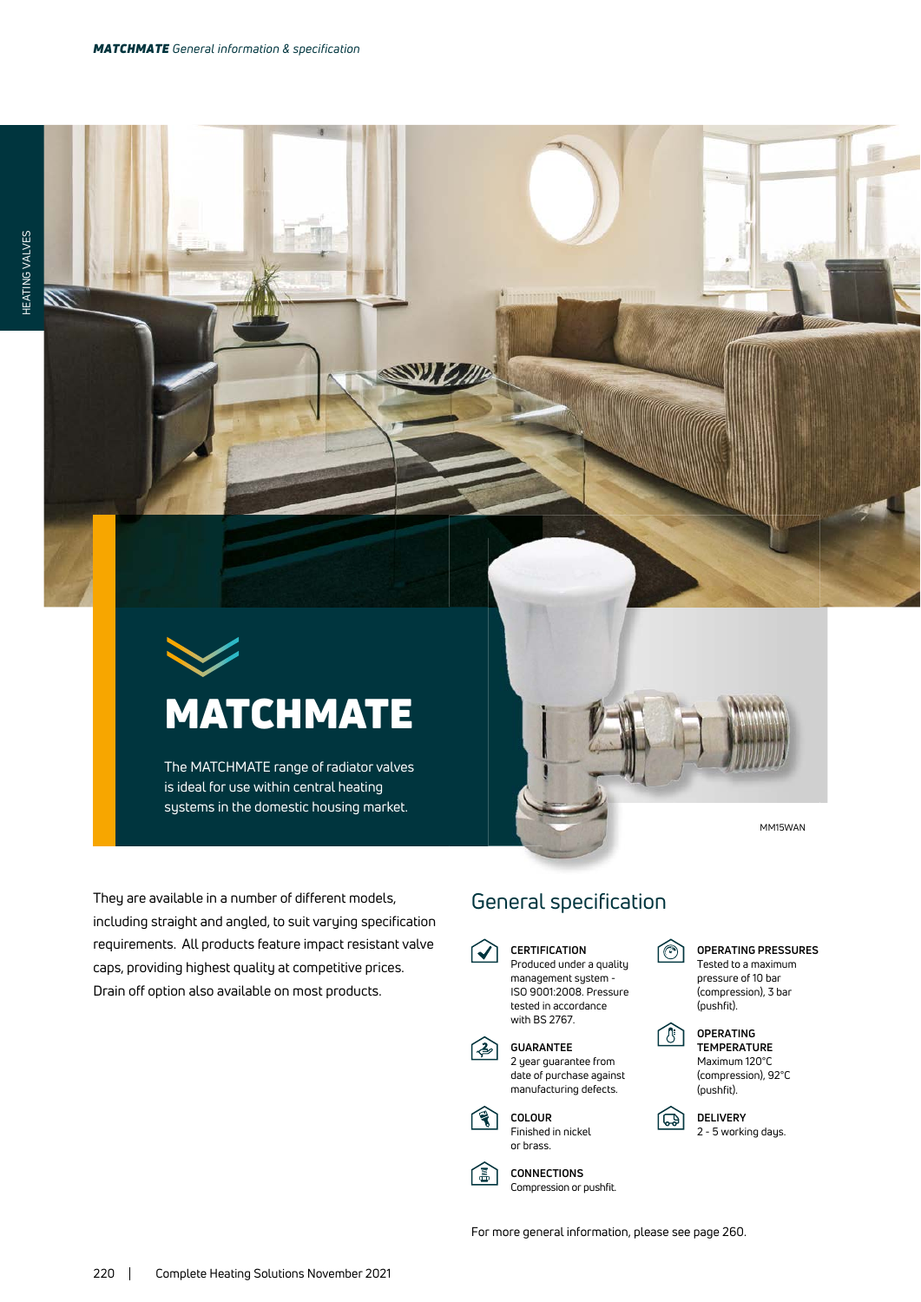

The MATCHMATE range of radiator valves is ideal for use within central heating systems in the domestic housing market.

MM15WAN

They are available in a number of different models, including straight and angled, to suit varying specification requirements. All products feature impact resistant valve caps, providing highest quality at competitive prices. Drain off option also available on most products.

## General specification

**CERTIFICATION**  $\blacktriangledown$ Produced under a quality management system -



 $\circ$ **OPERATING PRESSURES** Tested to a maximum pressure of 10 bar

向

## (compression), 3 bar (pushfit). **OPERATING**

 **TEMPERATURE** Maximum 120°C (compression), 92°C (pushfit).

**DELIVERY** 2 - 5 working days.

**CONNECTIONS** Compression or pushfit.

(圖

For more general information, please see page 260.

**COLOUR** Finished in nickel or brass.

**GUARANTEE** 2 year guarantee from date of purchase against manufacturing defects.